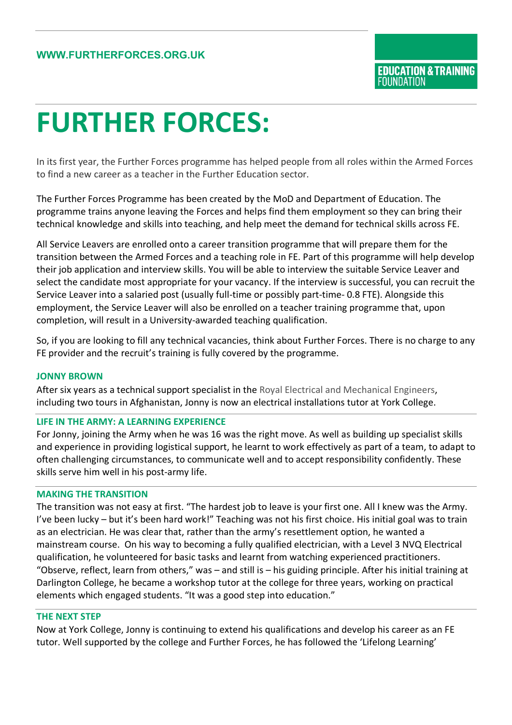# **FURTHER FORCES:**

In its first year, the Further Forces programme has helped people from all roles within the Armed Forces to find a new career as a teacher in the Further Education sector.

The Further Forces Programme has been created by the MoD and Department of Education. The programme trains anyone leaving the Forces and helps find them employment so they can bring their technical knowledge and skills into teaching, and help meet the demand for technical skills across FE.

All Service Leavers are enrolled onto a career transition programme that will prepare them for the transition between the Armed Forces and a teaching role in FE. Part of this programme will help develop their job application and interview skills. You will be able to interview the suitable Service Leaver and select the candidate most appropriate for your vacancy. If the interview is successful, you can recruit the Service Leaver into a salaried post (usually full-time or possibly part-time- 0.8 FTE). Alongside this employment, the Service Leaver will also be enrolled on a teacher training programme that, upon completion, will result in a University-awarded teaching qualification.

So, if you are looking to fill any technical vacancies, think about Further Forces. There is no charge to any FE provider and the recruit's training is fully covered by the programme.

## **JONNY BROWN**

After six years as a technical support specialist in the Royal Electrical and Mechanical Engineers, including two tours in Afghanistan, Jonny is now an electrical installations tutor at York College.

## **LIFE IN THE ARMY: A LEARNING EXPERIENCE**

For Jonny, joining the Army when he was 16 was the right move. As well as building up specialist skills and experience in providing logistical support, he learnt to work effectively as part of a team, to adapt to often challenging circumstances, to communicate well and to accept responsibility confidently. These skills serve him well in his post-army life.

#### **MAKING THE TRANSITION**

The transition was not easy at first. "The hardest job to leave is your first one. All I knew was the Army. I've been lucky – but it's been hard work!" Teaching was not his first choice. His initial goal was to train as an electrician. He was clear that, rather than the army's resettlement option, he wanted a mainstream course. On his way to becoming a fully qualified electrician, with a Level 3 NVQ Electrical qualification, he volunteered for basic tasks and learnt from watching experienced practitioners. "Observe, reflect, learn from others," was – and still is – his guiding principle. After his initial training at Darlington College, he became a workshop tutor at the college for three years, working on practical elements which engaged students. "It was a good step into education."

#### **THE NEXT STEP**

Now at York College, Jonny is continuing to extend his qualifications and develop his career as an FE tutor. Well supported by the college and Further Forces, he has followed the 'Lifelong Learning'